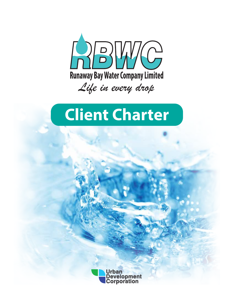

# **Client Charter**

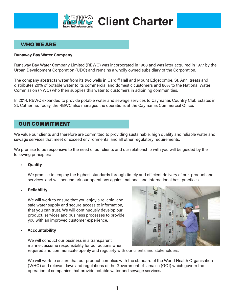

### **WHO WE ARE**

#### **Runaway Bay Water Company**

Runaway Bay Water Company Limited (RBWC) was incorporated in 1968 and was later acquired in 1977 by the Urban Development Corporation (UDC) and remains a wholly owned subsidiary of the Corporation.

The company abstracts water from its two wells in Cardiff Hall and Mount Edgecombe, St. Ann, treats and distributes 20% of potable water to its commercial and domestic customers and 80% to the National Water Commission (NWC) who then supplies this water to customers in adjoining communities.

In 2014, RBWC expanded to provide potable water and sewage services to Caymanas Country Club Estates in St. Catherine. Today, the RBWC also manages the operations at the Caymanas Commercial Office.

#### **OUR COMMITMENT**

We value our clients and therefore are committed to providing sustainable, high quality and reliable water and sewage services that meet or exceed environmental and all other regulatory reguirements.

We promise to be responsive to the need of our clients and our relationship with you will be guided by the following principles:

#### **Quality**

We promise to employ the highest standards through timely and efficient delivery of our product and services and will benchmark our operations against national and international best practices.

#### **Reliability**

We will work to ensure that you enjoy a reliable and safe water supply and secure access to information. that you can trust. We will continuously develop our product, services and business processes to provide you with an improved customer experience.

#### **Accountability**

We will conduct our business in a transparent manner, assume responsibility for our actions when required and communicate openly and regularly with our clients and stakeholders.

We will work to ensure that our product complies with the standard of the World Health Organisation (WHO) and relevant laws and regulations of the Government of Jamaica (GOJ) which govern the operation of companies that provide potable water and sewage services.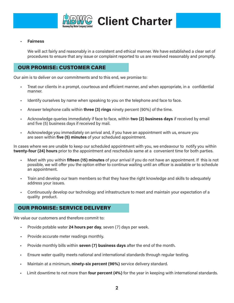

# C Client Charter

#### **Fairness**

We will act fairly and reasonably in a consistent and ethical manner. We have established a clear set of procedures to ensure that any issue or complaint reported to us are resolved reasonably and promptly.

### **OUR PROMISE: CUSTOMER CARE**

Our aim is to deliver on our commitments and to this end, we promise to:

- Treat our clients in a prompt, courteous and efficient manner, and when appropriate, in a confidential manner.
- Identify ourselves by name when speaking to you on the telephone and face to face.
- Answer telephone calls within three (3) rings ninety percent (90%) of the time.
- Acknowledge queries immediately if face to face, within two (2) business days if received by email and five (5) business days if received by mail.
- Acknowledge you immediately on arrival and, if you have an appointment with us, ensure you are seen within five (5) minutes of your scheduled appointment.

In cases where we are unable to keep our scheduled appointment with you, we endeavour to notify you within twenty-four (24) hours prior to the appointment and reschedule same at a convenient time for both parties.

- Meet with you within fifteen (15) minutes of your arrival if you do not have an appointment. If this is not  $\mathbf{r}$ possible, we will offer you the option either to continue waiting until an officer is available or to schedule an appointment.
- Train and develop our team members so that they have the right knowledge and skills to adequately address your issues.
- Continuously develop our technology and infrastructure to meet and maintain your expectation of a ä, quality product.

#### **OUR PROMISE: SERVICE DELIVERY**

We value our customers and therefore commit to:

- Provide potable water 24 hours per day, seven (7) days per week.  $\blacksquare$
- Provide accurate meter readings monthly. ٠
- Provide monthly bills within **seven (7) business days** after the end of the month.
- Ensure water quality meets national and international standards through regular testing.  $\blacksquare$
- Maintain at a minimum, ninety-six percent (96%) service delivery standard. ä
- Limit downtime to not more than four percent (4%) for the year in keeping with international standards. ä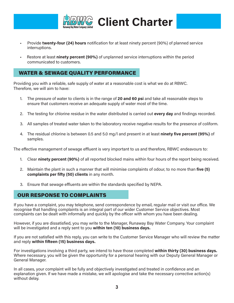

- Provide twenty-four (24) hours notification for at least ninety percent (90%) of planned service interruptions.
- Restore at least ninety percent (90%) of unplanned service interruptions within the period communicated to customers.

### **WATER & SEWAGE QUALITY PERFORMANCE**

Providing you with a reliable, safe supply of water at a reasonable cost is what we do at RBWC. Therefore, we will aim to have:

- 1. The pressure of water to clients is in the range of 20 and 60 psi and take all reasonable steps to ensure that customers receive an adequate supply of water most of the time.
- 2. The testing for chlorine residue in the water distributed is carried out every day and findings recorded.
- 3. All samples of treated water taken to the laboratory receive negative results for the presence of coliform.
- 4. The residual chlorine is between 0.5 and 5.0 mg/l and present in at least **ninety five percent (95%)** of samples.

The effective management of sewage effluent is very important to us and therefore, RBWC endeavours to:

- 1. Clear ninety percent (90%) of all reported blocked mains within four hours of the report being received.
- 2. Maintain the plant in such a manner that will minimise complaints of odour, to no more than five (5) complaints per fifty (50) clients in any month.
- 3. Ensure that sewage effluents are within the standards specified by NEPA.

### **OUR RESPONSE TO COMPLAINTS**

If you have a complaint, you may telephone, send correspondence by email, regular mail or visit our office. We recognise that handling complaints is an integral part of our wider Customer Service objectives. Most complaints can be dealt with informally and quickly by the officer with whom you have been dealing.

However, if you are dissatisfied, you may write to the Manager, Runaway Bay Water Company. Your complaint will be investigated and a reply sent to you within ten (10) business days.

If you are not satisfied with this reply, you can write to the Customer Service Manager who will review the matter and reply within fifteen (15) business days.

For investigations involving a third party, we intend to have those completed within thirty (30) business days. Where necessary, you will be given the opportunity for a personal hearing with our Deputy General Manager or General Manager.

In all cases, your complaint will be fully and objectively investigated and treated in confidence and an explanation given. If we have made a mistake, we will apologise and take the necessary corrective action(s) without delay.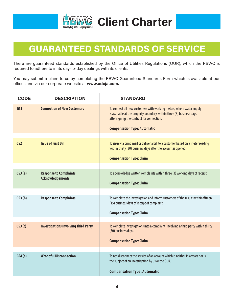

# **GUARANTEED STANDARDS OF SERVICE**

There are guaranteed standards established by the Office of Utilities Regulations (OUR), which the RBWC is required to adhere to in its day-to-day dealings with its clients.

You may submit a claim to us by completing the RBWC Guaranteed Standards Form which is available at our offices and via our corporate website at www.udcja.com.

| <b>CODE</b>     | <b>DESCRIPTION</b>                                       | <b>STANDARD</b>                                                                                                                                                                             |
|-----------------|----------------------------------------------------------|---------------------------------------------------------------------------------------------------------------------------------------------------------------------------------------------|
| GS1             | <b>Connection of New Customers</b>                       | To connect all new customers with working meters, where water supply<br>is available at the property boundary, within three (3) business days<br>after signing the contract for connection. |
|                 |                                                          | <b>Compensation Type: Automatic</b>                                                                                                                                                         |
|                 |                                                          |                                                                                                                                                                                             |
| GS <sub>2</sub> | <b>Issue of First Bill</b>                               | To issue via print, mail or deliver a bill to a customer based on a meter reading<br>within thirty (30) business days after the account is opened.                                          |
|                 |                                                          | <b>Compensation Type: Claim</b>                                                                                                                                                             |
|                 |                                                          |                                                                                                                                                                                             |
| GS3(a)          | <b>Response to Complaints</b><br><b>Acknowledgements</b> | To acknowledge written complaints within three (3) working days of receipt.                                                                                                                 |
|                 |                                                          | <b>Compensation Type: Claim</b>                                                                                                                                                             |
|                 |                                                          |                                                                                                                                                                                             |
| GS3(b)          | <b>Response to Complaints</b>                            | To complete the investigation and inform customers of the results within fifteen<br>(15) business days of receipt of complaint.                                                             |
|                 |                                                          | <b>Compensation Type: Claim</b>                                                                                                                                                             |
|                 |                                                          |                                                                                                                                                                                             |
| GS3(c)          | <b>Investigations Involving Third Party</b>              | To complete investigations into a complaint involving a third party within thirty<br>(30) business days.                                                                                    |
|                 |                                                          | <b>Compensation Type: Claim</b>                                                                                                                                                             |
|                 |                                                          |                                                                                                                                                                                             |
| GS4(a)          | <b>Wrongful Disconnection</b>                            | To not disconnect the service of an account which is neither in arrears nor is<br>the subject of an investigation by us or the OUR.                                                         |
|                 |                                                          | <b>Compensation Type: Automatic</b>                                                                                                                                                         |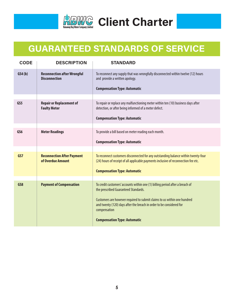

# **GUARANTEED STANDARDS OF SERVICE**

| <b>CODE</b>     | <b>DESCRIPTION</b>                                         | <b>STANDARD</b>                                                                                                                                                                                   |
|-----------------|------------------------------------------------------------|---------------------------------------------------------------------------------------------------------------------------------------------------------------------------------------------------|
| GS4(b)          | <b>Reconnection after Wrongful</b><br><b>Disconnection</b> | To reconnect any supply that was wrongfully disconnected within twelve (12) hours<br>and provide a written apology.<br><b>Compensation Type: Automatic</b>                                        |
|                 |                                                            |                                                                                                                                                                                                   |
| GS5             | <b>Repair or Replacement of</b><br><b>Faulty Meter</b>     | To repair or replace any malfunctioning meter within ten (10) business days after<br>detection, or after being informed of a meter defect.                                                        |
|                 |                                                            | <b>Compensation Type: Automatic</b>                                                                                                                                                               |
|                 |                                                            |                                                                                                                                                                                                   |
| GS <sub>6</sub> | <b>Meter Readings</b>                                      | To provide a bill based on meter reading each month.                                                                                                                                              |
|                 |                                                            | <b>Compensation Type: Automatic</b>                                                                                                                                                               |
|                 |                                                            |                                                                                                                                                                                                   |
| GS7             | <b>Reconnection After Payment</b><br>of Overdue Amount     | To reconnect customers disconnected for any outstanding balance within twenty-four<br>(24) hours of receipt of all applicable payments inclusive of reconnection fee etc.                         |
|                 |                                                            | <b>Compensation Type: Automatic</b>                                                                                                                                                               |
|                 |                                                            |                                                                                                                                                                                                   |
| GS8             | <b>Payment of Compensation</b>                             | To credit customers' accounts within one (1) billing period after a breach of<br>the prescribed Guaranteed Standards.<br>Customers are however required to submit claims to us within one hundred |
|                 |                                                            | and twenty (120) days after the breach in order to be considered for<br>compensation                                                                                                              |
|                 |                                                            | <b>Compensation Type: Automatic</b>                                                                                                                                                               |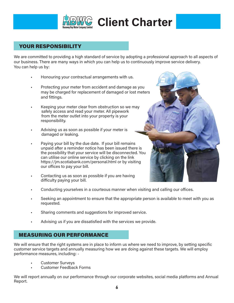

Client Charter

### **YOUR RESPONSIBILITY**

We are committed to providing a high standard of service by adopting a professional approach to all aspects of our business. There are many ways in which you can help us to continuously improve service delivery. You can help us by:

- Honouring your contractual arrangements with us.
- Protecting your meter from accident and damage as you may be charged for replacement of damaged or lost meters and fittings.
- Keeping your meter clear from obstruction so we may safely access and read your meter. All pipework from the meter outlet into your property is your responsibility.
- Advising us as soon as possible if your meter is damaged or leaking.
- Paying your bill by the due date. If your bill remains unpaid after a reminder notice has been issued there is the possibility that your service will be disconnected. You can utilise our online service by clicking on the link https://jm.scotiabank.com/personal.html or by visiting our offices to pay your bill.
- Contacting us as soon as possible if you are having difficulty paying your bill.
- Conducting yourselves in a courteous manner when visiting and calling our offices.
- Seeking an appointment to ensure that the appropriate person is available to meet with you as requested.
- Sharing comments and suggestions for improved service.
- Advising us if you are dissatisfied with the services we provide.

### **MEASURING OUR PERFORMANCE**

We will ensure that the right systems are in place to inform us where we need to improve, by setting specific customer service targets and annually measuring how we are doing against these targets. We will employ performance measures, including: -

- **Customer Surveys**
- Customer Feedback Forms

We will report annually on our performance through our corporate websites, social media platforms and Annual Report.